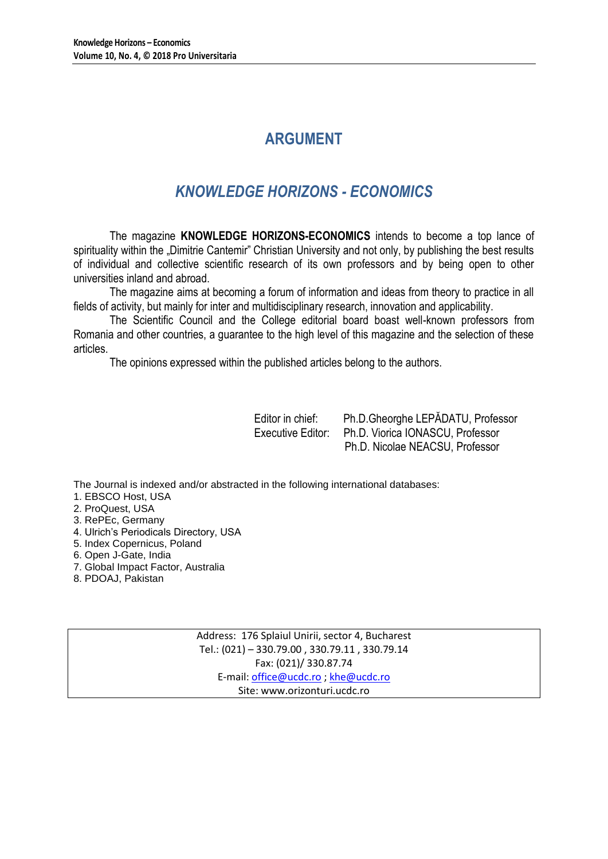# **ARGUMENT**

# *KNOWLEDGE HORIZONS - ECONOMICS*

The magazine **KNOWLEDGE HORIZONS-ECONOMICS** intends to become a top lance of spirituality within the "Dimitrie Cantemir" Christian University and not only, by publishing the best results of individual and collective scientific research of its own professors and by being open to other universities inland and abroad.

The magazine aims at becoming a forum of information and ideas from theory to practice in all fields of activity, but mainly for inter and multidisciplinary research, innovation and applicability.

The Scientific Council and the College editorial board boast well-known professors from Romania and other countries, a guarantee to the high level of this magazine and the selection of these articles.

The opinions expressed within the published articles belong to the authors.

Editor in chief: Ph.D.Gheorghe LEPĂDATU, Professor Executive Editor: Ph.D. Viorica IONASCU, Professor Ph.D. Nicolae NEACSU, Professor

The Journal is indexed and/or abstracted in the following international databases:

1. EBSCO Host, USA

- 2. ProQuest, USA
- 3. RePEc, Germany
- 4. Ulrich's Periodicals Directory, USA
- 5. Index Copernicus, Poland
- 6. Open J-Gate, India
- 7. Global Impact Factor, Australia
- 8. PDOAJ, Pakistan

Address: 176 Splaiul Unirii, sector 4, Bucharest Tel.: (021) – 330.79.00 , 330.79.11 , 330.79.14 Fax: (021)/ 330.87.74 E-mail[: office@ucdc.ro](mailto:office@ucdc.ro) [; khe@ucdc.ro](mailto:khe@ucdc.ro) Site: www.orizonturi.ucdc.ro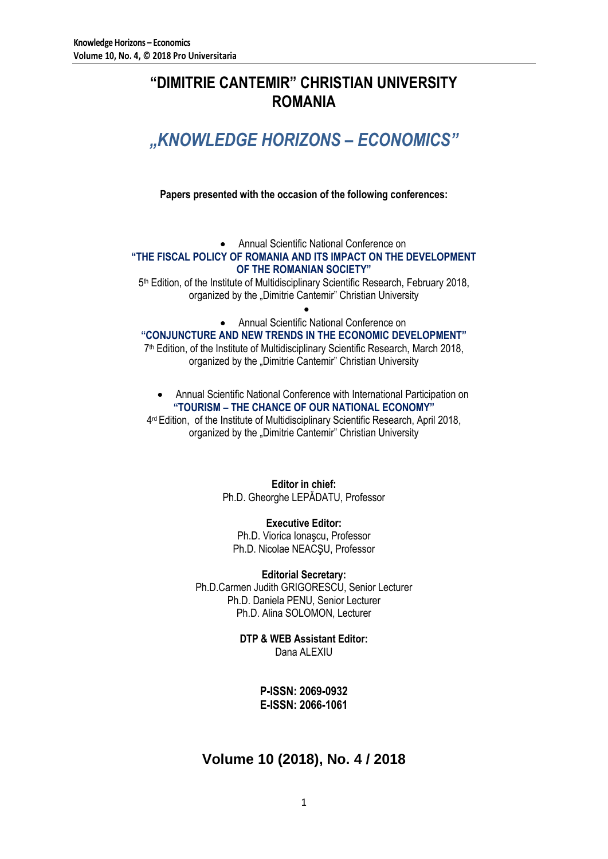# **"DIMITRIE CANTEMIR" CHRISTIAN UNIVERSITY ROMANIA**

# *"KNOWLEDGE HORIZONS – ECONOMICS"*

**Papers presented with the occasion of the following conferences:**

Annual Scientific National Conference on

### **"THE FISCAL POLICY OF ROMANIA AND ITS IMPACT ON THE DEVELOPMENT OF THE ROMANIAN SOCIETY"**

5 th Edition, of the Institute of Multidisciplinary Scientific Research, February 2018, organized by the "Dimitrie Cantemir" Christian University

 $\bullet$ 

Annual Scientific National Conference on

### **"CONJUNCTURE AND NEW TRENDS IN THE ECONOMIC DEVELOPMENT"**

7 th Edition, of the Institute of Multidisciplinary Scientific Research, March 2018, organized by the "Dimitrie Cantemir" Christian University

 Annual Scientific National Conference with International Participation on **"TOURISM – THE CHANCE OF OUR NATIONAL ECONOMY"**

4<sup>rd</sup> Edition, of the Institute of Multidisciplinary Scientific Research, April 2018, organized by the "Dimitrie Cantemir" Christian University

> **Editor in chief:** Ph.D. Gheorghe LEPĂDATU, Professor

**Executive Editor:** Ph.D. Viorica Ionaşcu, Professor Ph.D. Nicolae NEACŞU, Professor

**Editorial Secretary:** Ph.D.Carmen Judith GRIGORESCU, Senior Lecturer Ph.D. Daniela PENU, Senior Lecturer Ph.D. Alina SOLOMON, Lecturer

> **DTP & WEB Assistant Editor:** Dana ALEXIU

> > **P-ISSN: 2069-0932 E-ISSN: 2066-1061**

### **Volume 10 (2018), No. 4 / 2018**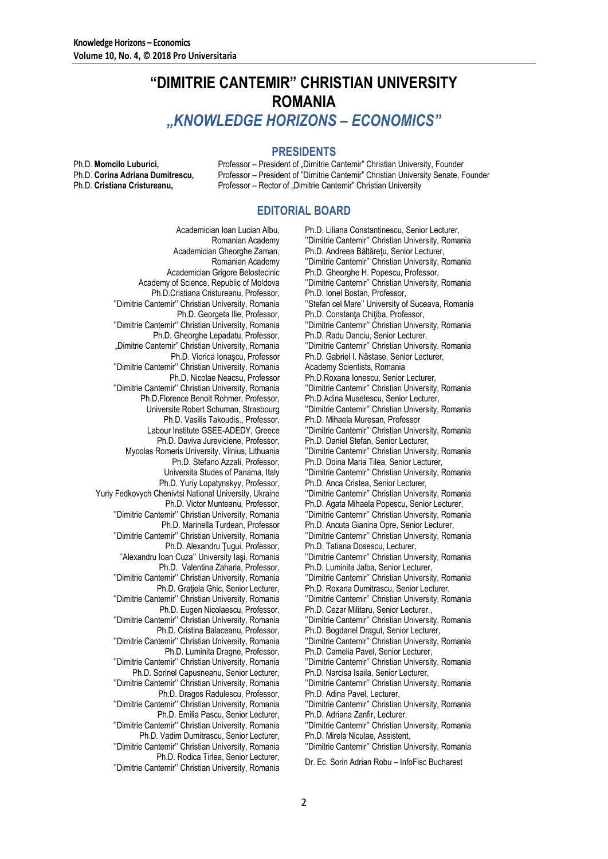## **"DIMITRIE CANTEMIR" CHRISTIAN UNIVERSITY ROMANIA** *"KNOWLEDGE HORIZONS – ECONOMICS"*

### **PRESIDENTS**

Ph.D. **Momcilo Luburici, Professor – President of "Dimitrie Cantemir" Christian University, Founder Ph.D. Corina Adriana Dumitrescu.** Professor – President of "Dimitrie Cantemir" Christian University Senate. F Professor – President of "Dimitrie Cantemir" Christian University Senate, Founder Ph.D. **Cristiana Cristureanu,** Professor – Rector of "Dimitrie Cantemir" Christian University

### **EDITORIAL BOARD**

Academician Ioan Lucian Albu, Romanian Academy Academician Gheorghe Zaman, Romanian Academy Academician Grigore Belostecinic Academy of Science, Republic of Moldova Ph.D.Cristiana Cristureanu, Professor, ''Dimitrie Cantemir'' Christian University, Romania Ph.D. Georgeta Ilie, Professor, ''Dimitrie Cantemir'' Christian University, Romania Ph.D. Gheorghe Lepadatu, Professor, "Dimitrie Cantemir" Christian University, Romania Ph.D. Viorica Ionaşcu, Professor ''Dimitrie Cantemir'' Christian University, Romania Ph.D. Nicolae Neacsu, Professor ''Dimitrie Cantemir'' Christian University, Romania Ph.D.Florence Benoit Rohmer, Professor, Universite Robert Schuman, Strasbourg Ph.D. Vasilis Takoudis., Professor, Labour Institute GSEE-ADEDY, Greece Ph.D. Daviva Jureviciene, Professor, Mycolas Romeris University, Vilnius, Lithuania Ph.D. Stefano Azzali, Professor, Universita Studes of Panama, Italy Ph.D. Yuriy Lopatynskyy, Professor, Yuriy Fedkovych Chenivtsi National University, Ukraine Ph.D. Victor Munteanu, Professor, ''Dimitrie Cantemir'' Christian University, Romania Ph.D. Marinella Turdean, Professor ''Dimitrie Cantemir'' Christian University, Romania Ph.D. Alexandru Tugui, Professor, ''Alexandru Ioan Cuza'' University Iaşi, Romania Ph.D. Valentina Zaharia, Professor, ''Dimitrie Cantemir'' Christian University, Romania Ph.D. Graţiela Ghic, Senior Lecturer, ''Dimitrie Cantemir'' Christian University, Romania Ph.D. Eugen Nicolaescu, Professor, ''Dimitrie Cantemir'' Christian University, Romania Ph.D. Cristina Balaceanu, Professor, ''Dimitrie Cantemir'' Christian University, Romania Ph.D. Luminita Dragne, Professor, ''Dimitrie Cantemir'' Christian University, Romania Ph.D. Sorinel Capusneanu, Senior Lecturer, ''Dimitrie Cantemir'' Christian University, Romania Ph.D. Dragos Radulescu, Professor, ''Dimitrie Cantemir'' Christian University, Romania Ph.D. Emilia Pascu, Senior Lecturer, ''Dimitrie Cantemir'' Christian University, Romania Ph.D. Vadim Dumitrascu, Senior Lecturer, ''Dimitrie Cantemir'' Christian University, Romania Ph.D. Rodica Tirlea, Senior Lecturer, ''Dimitrie Cantemir'' Christian University, Romania Dr. Ec. Sorin Adrian Robu – InfoFisc Bucharest

Ph.D. Liliana Constantinescu, Senior Lecturer, ''Dimitrie Cantemir'' Christian University, Romania Ph.D. Andreea Băltăreţu, Senior Lecturer, ''Dimitrie Cantemir'' Christian University, Romania Ph.D. Gheorghe H. Popescu, Professor, ''Dimitrie Cantemir'' Christian University, Romania Ph.D. Ionel Bostan, Professor, ''Stefan cel Mare'' University of Suceava, Romania Ph.D. Constanta Chitiba, Professor, ''Dimitrie Cantemir'' Christian University, Romania Ph.D. Radu Danciu, Senior Lecturer, ''Dimitrie Cantemir'' Christian University, Romania Ph.D. Gabriel I. Năstase, Senior Lecturer, Academy Scientists, Romania Ph.D.Roxana Ionescu, Senior Lecturer, ''Dimitrie Cantemir'' Christian University, Romania Ph.D.Adina Musetescu, Senior Lecturer, ''Dimitrie Cantemir'' Christian University, Romania Ph.D. Mihaela Muresan, Professor ''Dimitrie Cantemir'' Christian University, Romania Ph.D. Daniel Stefan, Senior Lecturer, ''Dimitrie Cantemir'' Christian University, Romania Ph.D. Doina Maria Tilea, Senior Lecturer, ''Dimitrie Cantemir'' Christian University, Romania Ph.D. Anca Cristea, Senior Lecturer, ''Dimitrie Cantemir'' Christian University, Romania Ph.D. Agata Mihaela Popescu, Senior Lecturer, ''Dimitrie Cantemir'' Christian University, Romania Ph.D. Ancuta Gianina Opre, Senior Lecturer, ''Dimitrie Cantemir'' Christian University, Romania Ph.D. Tatiana Dosescu, Lecturer, ''Dimitrie Cantemir'' Christian University, Romania Ph.D. Luminita Jalba, Senior Lecturer, ''Dimitrie Cantemir'' Christian University, Romania Ph.D. Roxana Dumitrascu, Senior Lecturer, ''Dimitrie Cantemir'' Christian University, Romania Ph.D. Cezar Militaru, Senior Lecturer., ''Dimitrie Cantemir'' Christian University, Romania Ph.D. Bogdanel Dragut, Senior Lecturer, ''Dimitrie Cantemir'' Christian University, Romania Ph.D. Camelia Pavel, Senior Lecturer, ''Dimitrie Cantemir'' Christian University, Romania Ph.D. Narcisa Isaila, Senior Lecturer, ''Dimitrie Cantemir'' Christian University, Romania Ph.D. Adina Pavel, Lecturer, ''Dimitrie Cantemir'' Christian University, Romania Ph.D. Adriana Zanfir, Lecturer, ''Dimitrie Cantemir'' Christian University, Romania Ph.D. Mirela Niculae, Assistent, ''Dimitrie Cantemir'' Christian University, Romania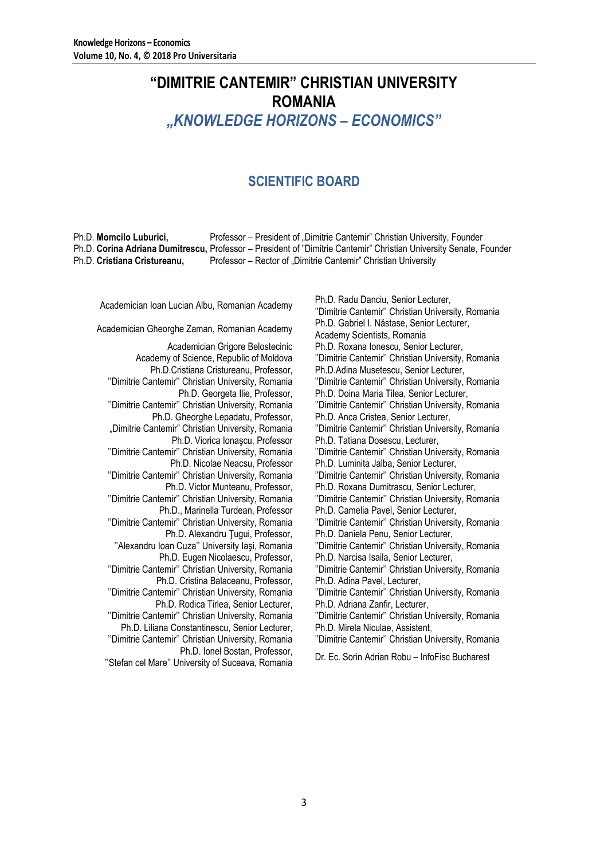# **"DIMITRIE CANTEMIR" CHRISTIAN UNIVERSITY ROMANIA** *"KNOWLEDGE HORIZONS – ECONOMICS"*

### **SCIENTIFIC BOARD**

Ph.D. **Momcilo Luburici,** Professor – President of "Dimitrie Cantemir" Christian University, Founder Ph.D. **Corina Adriana Dumitrescu,** Professor – President of "Dimitrie Cantemir" Christian University Senate, Founder Ph.D. **Cristiana Cristureanu,** Professor – Rector of "Dimitrie Cantemir" Christian University

Academician Grigore Belostecinic Academy of Science, Republic of Moldova Ph.D.Cristiana Cristureanu, Professor, ''Dimitrie Cantemir'' Christian University, Romania Ph.D. Georgeta Ilie, Professor, ''Dimitrie Cantemir'' Christian University, Romania Ph.D. Gheorghe Lepadatu, Professor, "Dimitrie Cantemir" Christian University, Romania Ph.D. Viorica Ionaşcu, Professor ''Dimitrie Cantemir'' Christian University, Romania Ph.D. Nicolae Neacsu, Professor ''Dimitrie Cantemir'' Christian University, Romania Ph.D. Victor Munteanu, Professor, ''Dimitrie Cantemir'' Christian University, Romania Ph.D., Marinella Turdean, Professor ''Dimitrie Cantemir'' Christian University, Romania Ph.D. Alexandru Ţugui, Professor, ''Alexandru Ioan Cuza'' University Iaşi, Romania Ph.D. Eugen Nicolaescu, Professor, ''Dimitrie Cantemir'' Christian University, Romania Ph.D. Cristina Balaceanu, Professor, ''Dimitrie Cantemir'' Christian University, Romania Ph.D. Rodica Tirlea, Senior Lecturer, ''Dimitrie Cantemir'' Christian University, Romania Ph.D. Liliana Constantinescu, Senior Lecturer, ''Dimitrie Cantemir'' Christian University, Romania Ph.D. Ionel Bostan, Professor,

''Stefan cel Mare'' University of Suceava, Romania Dr. Ec. Sorin Adrian Robu – InfoFisc Bucharest

Academician Ioan Lucian Albu, Romanian Academy<br>
Ph.D. Radu Danciu, Senior Lecturer, Academy Philippine University Orginalistics University ''Dimitrie Cantemir'' Christian University, Romania Academician Gheorghe Zaman, Romanian Academy Ph.D. Gabriel I. Năstase, Senior Lecturer, Academy Scientists, Romania Ph.D. Roxana Ionescu, Senior Lecturer, ''Dimitrie Cantemir'' Christian University, Romania Ph.D.Adina Musetescu, Senior Lecturer, ''Dimitrie Cantemir'' Christian University, Romania Ph.D. Doina Maria Tilea, Senior Lecturer, ''Dimitrie Cantemir'' Christian University, Romania Ph.D. Anca Cristea, Senior Lecturer, ''Dimitrie Cantemir'' Christian University, Romania Ph.D. Tatiana Dosescu, Lecturer, ''Dimitrie Cantemir'' Christian University, Romania Ph.D. Luminita Jalba, Senior Lecturer, ''Dimitrie Cantemir'' Christian University, Romania Ph.D. Roxana Dumitrascu, Senior Lecturer, ''Dimitrie Cantemir'' Christian University, Romania Ph.D. Camelia Pavel, Senior Lecturer, ''Dimitrie Cantemir'' Christian University, Romania Ph.D. Daniela Penu, Senior Lecturer, ''Dimitrie Cantemir'' Christian University, Romania Ph.D. Narcisa Isaila, Senior Lecturer, ''Dimitrie Cantemir'' Christian University, Romania Ph.D. Adina Pavel, Lecturer, ''Dimitrie Cantemir'' Christian University, Romania Ph.D. Adriana Zanfir, Lecturer, ''Dimitrie Cantemir'' Christian University, Romania Ph.D. Mirela Niculae, Assistent, ''Dimitrie Cantemir'' Christian University, Romania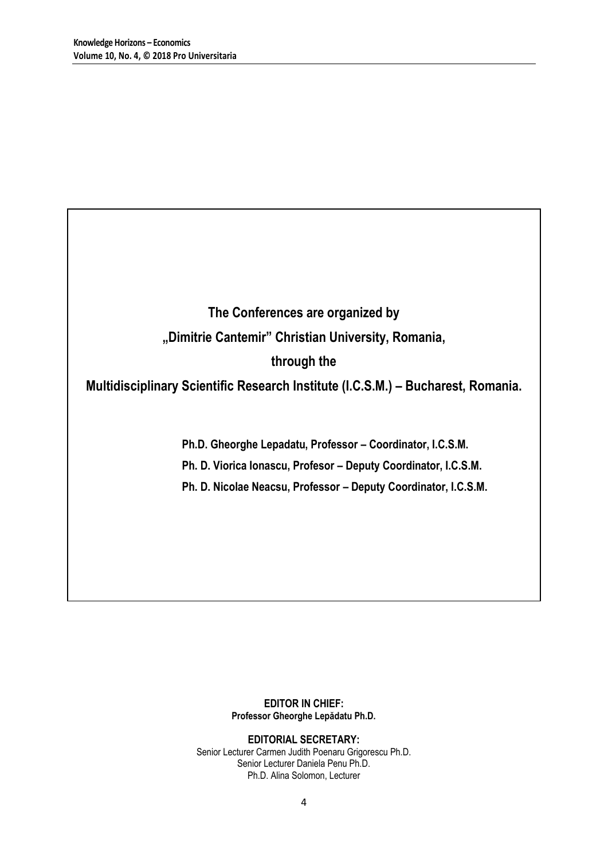# **The Conferences are organized by "Dimitrie Cantemir" Christian University, Romania, through the**

### **Multidisciplinary Scientific Research Institute (I.C.S.M.) – Bucharest, Romania.**

**Ph.D. Gheorghe Lepadatu, Professor – Coordinator, I.C.S.M.**

**Ph. D. Viorica Ionascu, Profesor – Deputy Coordinator, I.C.S.M.**

**Ph. D. Nicolae Neacsu, Professor – Deputy Coordinator, I.C.S.M.**

### **EDITOR IN CHIEF: Professor Gheorghe Lepădatu Ph.D.**

**EDITORIAL SECRETARY:** Senior Lecturer Carmen Judith Poenaru Grigorescu Ph.D. Senior Lecturer Daniela Penu Ph.D. Ph.D. Alina Solomon, Lecturer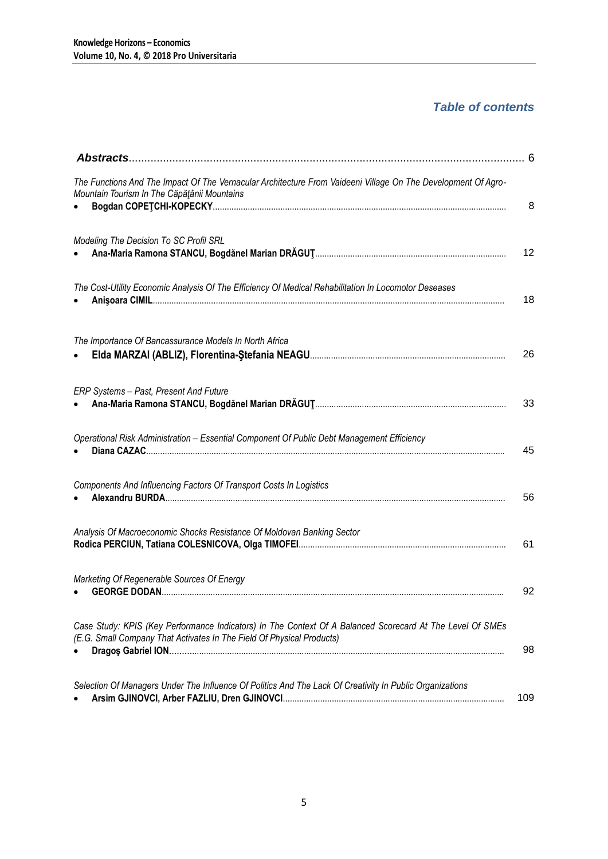### *Table of contents*

|                                                                                                                                                                                    | - 6 |
|------------------------------------------------------------------------------------------------------------------------------------------------------------------------------------|-----|
| The Functions And The Impact Of The Vernacular Architecture From Vaideeni Village On The Development Of Agro-<br>Mountain Tourism In The Căpățânii Mountains                       | 8   |
|                                                                                                                                                                                    |     |
| Modeling The Decision To SC Profil SRL                                                                                                                                             | 12  |
| The Cost-Utility Economic Analysis Of The Efficiency Of Medical Rehabilitation In Locomotor Deseases                                                                               | 18  |
| The Importance Of Bancassurance Models In North Africa                                                                                                                             | 26  |
| ERP Systems - Past, Present And Future                                                                                                                                             | 33  |
| Operational Risk Administration - Essential Component Of Public Debt Management Efficiency                                                                                         | 45  |
| Components And Influencing Factors Of Transport Costs In Logistics                                                                                                                 | 56  |
| Analysis Of Macroeconomic Shocks Resistance Of Moldovan Banking Sector                                                                                                             | 61  |
| Marketing Of Regenerable Sources Of Energy                                                                                                                                         | 92  |
| Case Study: KPIS (Key Performance Indicators) In The Context Of A Balanced Scorecard At The Level Of SMEs<br>(E.G. Small Company That Activates In The Field Of Physical Products) | 98  |
| Selection Of Managers Under The Influence Of Politics And The Lack Of Creativity In Public Organizations                                                                           | 109 |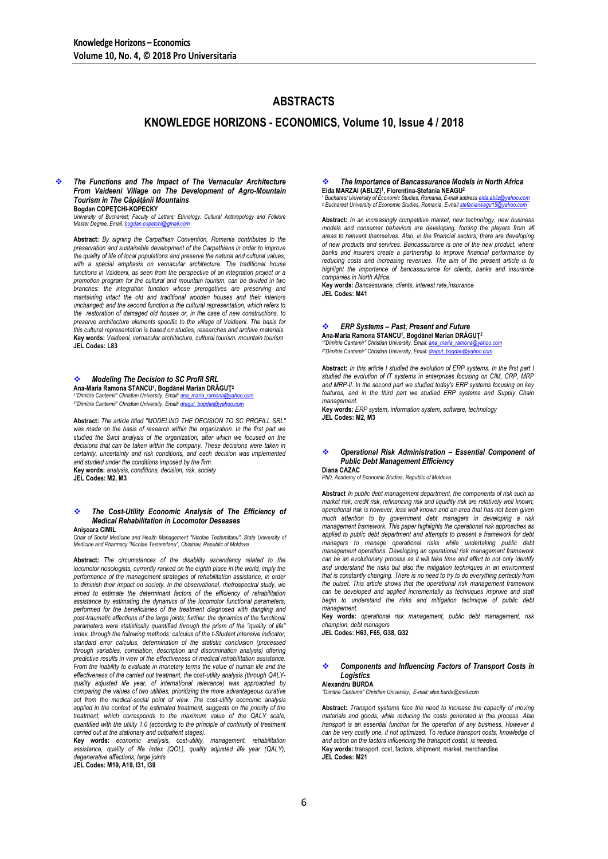### **ABSTRACTS**

### **KNOWLEDGE HORIZONS - ECONOMICS, Volume 10, Issue 4 / 2018**

### *The Functions and The Impact of The Vernacular Architecture From Vaideeni Village on The Development of Agro-Mountain Tourism in The Căpăţânii Mountains*

**Bogdan COPEŢCHI-KOPECKY**

*University of Bucharest; Faculty of Letters; Ethnology, Cultural Anthropology and Folklore Master Degree, Email[: bogdan.copetchi@gmail.com](mailto:bogdan.copetchi@gmail.com)* **Abstract:** *By signing the Carpathian Convention, Romania contributes to the* 

*preservation and sustainable development of the Carpathians in order to improve the quality of life of local populations and preserve the natural and cultural values,*  with a special emphasis on vernacular architecture. The traditional house *functions in Vaideeni, as seen from the perspective of an integration project or a promotion program for the cultural and mountain tourism, can be divided in two branches: the integration function whose prerogatives are preserving and mantaining intact the old and traditional wooden houses and their interiors unchanged; and the second function is the cultural representation, which refers to the restoration of damaged old houses or, in the case of new constructions, to preserve architecture elements specific to the village of Vaideeni. The basis for this cultural representation is based on studies, researches and archive materials.* **Key words:** *Vaideeni, vernacular architecture, cultural tourism, mountain tourism* **JEL Codes: L83**

#### *Modeling The Decision to SC Profil SRL*

**Ana-Maria Ramona STANCU<sup>1</sup> , Bogdănel Marian DRĂGUŢ<sup>2</sup>** *1 "Dimitrie Cantemir" Christian University, Email: [ana\\_maria\\_ramona@yahoo.com](mailto:ana_maria_ramona@yahoo.com)*

*2 "Dimitrie Cantemir" Christian University, Email: [dragut\\_bogdan@yahoo.com](mailto:dragut_bogdan@yahoo.com)*

**Abstract:** *The article titled "MODELING THE DECISION TO SC PROFILL SRL"*  was made on the basis of research within the organization. In the first part we *studied the Swot analysis of the organization, after which we focused on the decisions that can be taken within the company. These decisions were taken in certainty, uncertainty and risk conditions, and each decision was implemented and studied under the conditions imposed by the firm.* **Key words:** *analysis, conditions, decision, risk, society*

**JEL Codes: M2, M3**

#### *The Cost-Utility Economic Analysis of The Efficiency of Medical Rehabilitation in Locomotor Deseases* **Anişoara CIMIL**

*Chair of Social Medicine and Health Management "Nicolae Testemitanu", State University of Medicine and Pharmacy "Nicolae Testemitanu", Chisinau, Republic of Moldova*

**Abstract:** *The circumstances of the disability ascendency related to the locomotor nosologists, currently ranked on the eighth place in the world, imply the* performance of the management strategies of rehabilitation assistance, in order *to diminish their impact on society. In the observational, rhetrospectral study, we aimed to estimate the determinant factors of the efficiency of rehabilitation assistance by estimating the dynamics of the locomotor functional parameters, performed for the beneficiaries of the treatment diagnosed with dangling and post-traumatic affections of the large joints; further, the dynamics of the functional parameters were statistically quantified through the prism of the "quality of life"*  index, through the following methods: calculus of the t-Student intensive indicator, *standard error calculus, determination of the statistic conclusion (processed through variables, correlation, description and discrimination analysis) offering predictive results in view of the effectiveness of medical rehabilitation assistance. From the inability to evaluate in monetary terms the value of human life and the effectiveness of the carried out treatment, the cost-utility analysis (through QALYquality adjusted life year, of international relevance) was approached by comparing the values of two utilities, prioritizing the more advantageous curative*  act from the medical-social point of view. The cost-utility economic analysis applied in the context of the estimated treatment, suggests on the priority of the *treatment, which corresponds to the maximum value of the QALY scale, quantified with the utility 1.0 (according to the principle of continuity of treatment carried out at the stationary and outpatient stages).*

**Key words:** *economic analysis, cost-utility, management, rehabilitation assistance, quality of life index (QOL), quality adjusted life year (QALY), degenerative affections, large joints*

**JEL Codes: M19, A19, I31, I39**

#### *The Importance of Bancassurance Models in North Africa* **Elda MARZAI (ABLIZ)<sup>1</sup> , Florentina-Ștefania NEAGU<sup>2</sup>**

1*Bucharest University of Economic Studies, Romania, E-mail address elda.ab***<br><sup>1</sup> Bucharest University of Economic Studies, Romania, E-mail address elda.ab** <sup>2</sup> Bucharest University of Economic Studies, Romania, E-mail stefania

**Abstract:** *In an increasingly competitive market, new technology, new business models and consumer behaviors are developing, forcing the players from all areas to reinvent themselves. Also, in the financial sectors, there are developing of new products and services. Bancassurance is one of the new product, where banks and insurers create a partnership to improve financial performance by reducing costs and increasing revenues. The aim of the present article is to highlight the importance of bancassurance for clients, banks and insurance companies in North Africa.*

**Key words:** *Bancassurane, clients, interest rate,insurance* **JEL Codes: M41**

#### *ERP Systems – Past, Present and Future*

**Ana-Maria Ramona STANCU<sup>1</sup> , Bogdănel Marian DRĂGUŢ<sup>2</sup>** *1 "Dimitrie Cantemir" Christian University, Email: [ana\\_maria\\_ramona@yahoo.com](mailto:ana_maria_ramona@yahoo.com) 2 "Dimitrie Cantemir" Christian University, Email: [dragut\\_bogdan@yahoo.com](mailto:dragut_bogdan@yahoo.com)*

**Abstract:** *In this article I studied the evolution of ERP systems. In the first part I studied the evolution of IT systems in enterprises focusing on CIM, CRP, MRP and MRP-II. In the second part we studied today's ERP systems focusing on key features, and in the third part we studied ERP systems and Supply Chain management.*

**Key words:** *ERP system, information system, software, technology* **JEL Codes: M2, M3**

#### *Operational Risk Administration – Essential Component of Public Debt Management Efficiency*

**Diana CAZAC** *PhD, Academy of Economic Studies, Republic of Moldova*

**Abstract** *In public debt management department, the components of risk such as market risk, credit risk, refinancing risk and liquidity risk are relatively well known; operational risk is however, less well known and an area that has not been given much attention to by government debt managers in developing a risk management framework. This paper highlights the operational risk approaches as applied to public debt department and attempts to present a framework for debt managers to manage operational risks while undertaking public debt management operations. Developing an operational risk management framework*  can be an evolutionary process as it will take time and effort to not only identify *and understand the risks but also the mitigation techniques in an environment that is constantly changing. There is no need to try to do everything perfectly from the outset. This article shows that the operational risk management framework can be developed and applied incrementally as techniques improve and staff begin to understand the risks and mitigation technique of public debt management.*

**Key words:** *operational risk management, public debt management, risk champion, debt managers*

**JEL Codes: H63, F65, G38, G32**

#### *Components and Influencing Factors of Transport Costs in Logistics* **Alexandru BURDA**

*"Dimitrie Cantemir" Christian University, E-mail: alex.burda@mail.com*

**Abstract:** *Transport systems face the need to increase the capacity of moving materials and goods, while reducing the costs generated in this process. Also*  transport is an essential function for the operation of any business. However it *can be very costly one, if not optimized. To reduce transport costs, knowledge of and action on the factors influencing the transport costst, is needed.* **Key words:** transport, cost, factors, shipment, market, merchandise **JEL Codes: M21**